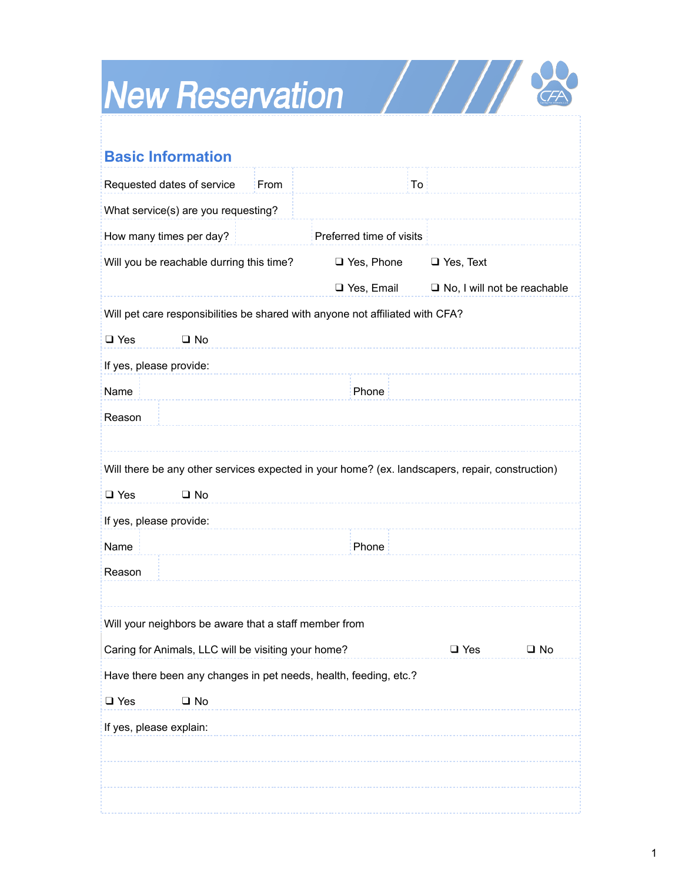## New Reservation / / / / &

| <b>Basic Information</b>                                                                        |      |                          |                                    |              |
|-------------------------------------------------------------------------------------------------|------|--------------------------|------------------------------------|--------------|
| Requested dates of service                                                                      | From | To                       |                                    |              |
| What service(s) are you requesting?                                                             |      |                          |                                    |              |
| How many times per day?                                                                         |      | Preferred time of visits |                                    |              |
| Will you be reachable durring this time?                                                        |      | □ Yes, Phone             | $\Box$ Yes, Text                   |              |
|                                                                                                 |      | □ Yes, Email             | $\Box$ No, I will not be reachable |              |
| Will pet care responsibilities be shared with anyone not affiliated with CFA?                   |      |                          |                                    |              |
| $\square$ No<br>$\Box$ Yes                                                                      |      |                          |                                    |              |
| If yes, please provide:                                                                         |      |                          |                                    |              |
| Name<br>Phone                                                                                   |      |                          |                                    |              |
| Reason                                                                                          |      |                          |                                    |              |
|                                                                                                 |      |                          |                                    |              |
| Will there be any other services expected in your home? (ex. landscapers, repair, construction) |      |                          |                                    |              |
| $\square$ No<br>$\Box$ Yes                                                                      |      |                          |                                    |              |
| If yes, please provide:                                                                         |      |                          |                                    |              |
| Name                                                                                            |      | Phone                    |                                    |              |
| Reason                                                                                          |      |                          |                                    |              |
|                                                                                                 |      |                          |                                    |              |
| Will your neighbors be aware that a staff member from                                           |      |                          |                                    |              |
| Caring for Animals, LLC will be visiting your home?                                             |      |                          | $\Box$ Yes                         | $\square$ No |
| Have there been any changes in pet needs, health, feeding, etc.?                                |      |                          |                                    |              |
| $\square$ Yes<br>$\square$ No                                                                   |      |                          |                                    |              |
| If yes, please explain:                                                                         |      |                          |                                    |              |
|                                                                                                 |      |                          |                                    |              |
|                                                                                                 |      |                          |                                    |              |
|                                                                                                 |      |                          |                                    |              |